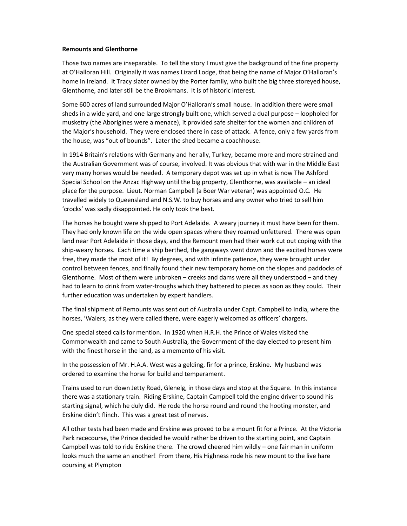## **Remounts and Glenthorne**

Those two names are inseparable. To tell the story I must give the background of the fine property at O'Halloran Hill. Originally it was names Lizard Lodge, that being the name of Major O'Halloran's home in Ireland. It Tracy slater owned by the Porter family, who built the big three storeyed house, Glenthorne, and later still be the Brookmans. It is of historic interest.

Some 600 acres of land surrounded Major O'Halloran's small house. In addition there were small sheds in a wide yard, and one large strongly built one, which served a dual purpose – loopholed for musketry (the Aborigines were a menace), it provided safe shelter for the women and children of the Major's household. They were enclosed there in case of attack. A fence, only a few yards from the house, was "out of bounds". Later the shed became a coachhouse.

In 1914 Britain's relations with Germany and her ally, Turkey, became more and more strained and the Australian Government was of course, involved. It was obvious that with war in the Middle East very many horses would be needed. A temporary depot was set up in what is now The Ashford Special School on the Anzac Highway until the big property, Glenthorne, was available – an ideal place for the purpose. Lieut. Norman Campbell (a Boer War veteran) was appointed O.C. He travelled widely to Queensland and N.S.W. to buy horses and any owner who tried to sell him 'crocks' was sadly disappointed. He only took the best.

The horses he bought were shipped to Port Adelaide. A weary journey it must have been for them. They had only known life on the wide open spaces where they roamed unfettered. There was open land near Port Adelaide in those days, and the Remount men had their work cut out coping with the ship-weary horses. Each time a ship berthed, the gangways went down and the excited horses were free, they made the most of it! By degrees, and with infinite patience, they were brought under control between fences, and finally found their new temporary home on the slopes and paddocks of Glenthorne. Most of them were unbroken – creeks and dams were all they understood – and they had to learn to drink from water-troughs which they battered to pieces as soon as they could. Their further education was undertaken by expert handlers.

The final shipment of Remounts was sent out of Australia under Capt. Campbell to India, where the horses, 'Walers, as they were called there, were eagerly welcomed as officers' chargers.

One special steed calls for mention. In 1920 when H.R.H. the Prince of Wales visited the Commonwealth and came to South Australia, the Government of the day elected to present him with the finest horse in the land, as a memento of his visit.

In the possession of Mr. H.A.A. West was a gelding, fir for a prince, Erskine. My husband was ordered to examine the horse for build and temperament.

Trains used to run down Jetty Road, Glenelg, in those days and stop at the Square. In this instance there was a stationary train. Riding Erskine, Captain Campbell told the engine driver to sound his starting signal, which he duly did. He rode the horse round and round the hooting monster, and Erskine didn't flinch. This was a great test of nerves.

All other tests had been made and Erskine was proved to be a mount fit for a Prince. At the Victoria Park racecourse, the Prince decided he would rather be driven to the starting point, and Captain Campbell was told to ride Erskine there. The crowd cheered him wildly – one fair man in uniform looks much the same an another! From there, His Highness rode his new mount to the live hare coursing at Plympton